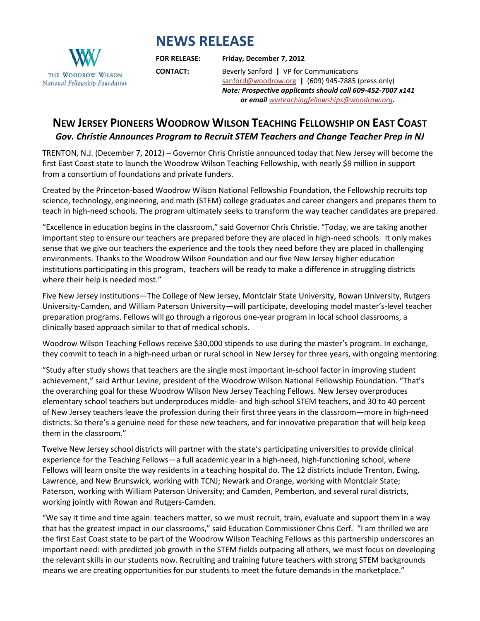## **NEWS RELEASE**



**FOR RELEASE: Friday, December 7, 2012**

**CONTACT:** Beverly Sanford **|** VP for Communications [sanford@woodrow.org](mailto:sanford@woodrow.org) **|** (609) 945-7885 (press only) *Note: Prospective applicants should call 609-452-7007 x141 or email [wwteachingfellowships@woodrow.org](mailto:wwteachingfellowships@woodrow.org).*

## **NEW JERSEY PIONEERS WOODROW WILSON TEACHING FELLOWSHIP ON EAST COAST** *Gov. Christie Announces Program to Recruit STEM Teachers and Change Teacher Prep in NJ*

TRENTON, N.J. (December 7, 2012) – Governor Chris Christie announced today that New Jersey will become the first East Coast state to launch the Woodrow Wilson Teaching Fellowship, with nearly \$9 million in support from a consortium of foundations and private funders.

Created by the Princeton-based Woodrow Wilson National Fellowship Foundation, the Fellowship recruits top science, technology, engineering, and math (STEM) college graduates and career changers and prepares them to teach in high-need schools. The program ultimately seeks to transform the way teacher candidates are prepared.

"Excellence in education begins in the classroom," said Governor Chris Christie. "Today, we are taking another important step to ensure our teachers are prepared before they are placed in high-need schools. It only makes sense that we give our teachers the experience and the tools they need before they are placed in challenging environments. Thanks to the Woodrow Wilson Foundation and our five New Jersey higher education institutions participating in this program, teachers will be ready to make a difference in struggling districts where their help is needed most."

Five New Jersey institutions—The College of New Jersey, Montclair State University, Rowan University, Rutgers University-Camden, and William Paterson University—will participate, developing model master's-level teacher preparation programs. Fellows will go through a rigorous one-year program in local school classrooms, a clinically based approach similar to that of medical schools.

Woodrow Wilson Teaching Fellows receive \$30,000 stipends to use during the master's program. In exchange, they commit to teach in a high-need urban or rural school in New Jersey for three years, with ongoing mentoring.

"Study after study shows that teachers are the single most important in-school factor in improving student achievement," said Arthur Levine, president of the Woodrow Wilson National Fellowship Foundation. "That's the overarching goal for these Woodrow Wilson New Jersey Teaching Fellows. New Jersey overproduces elementary school teachers but underproduces middle- and high-school STEM teachers, and 30 to 40 percent of New Jersey teachers leave the profession during their first three years in the classroom—more in high-need districts. So there's a genuine need for these new teachers, and for innovative preparation that will help keep them in the classroom."

Twelve New Jersey school districts will partner with the state's participating universities to provide clinical experience for the Teaching Fellows—a full academic year in a high-need, high-functioning school, where Fellows will learn onsite the way residents in a teaching hospital do. The 12 districts include Trenton, Ewing, Lawrence, and New Brunswick, working with TCNJ; Newark and Orange, working with Montclair State; Paterson, working with William Paterson University; and Camden, Pemberton, and several rural districts, working jointly with Rowan and Rutgers-Camden.

"We say it time and time again: teachers matter, so we must recruit, train, evaluate and support them in a way that has the greatest impact in our classrooms," said Education Commissioner Chris Cerf. "I am thrilled we are the first East Coast state to be part of the Woodrow Wilson Teaching Fellows as this partnership underscores an important need: with predicted job growth in the STEM fields outpacing all others, we must focus on developing the relevant skills in our students now. Recruiting and training future teachers with strong STEM backgrounds means we are creating opportunities for our students to meet the future demands in the marketplace."